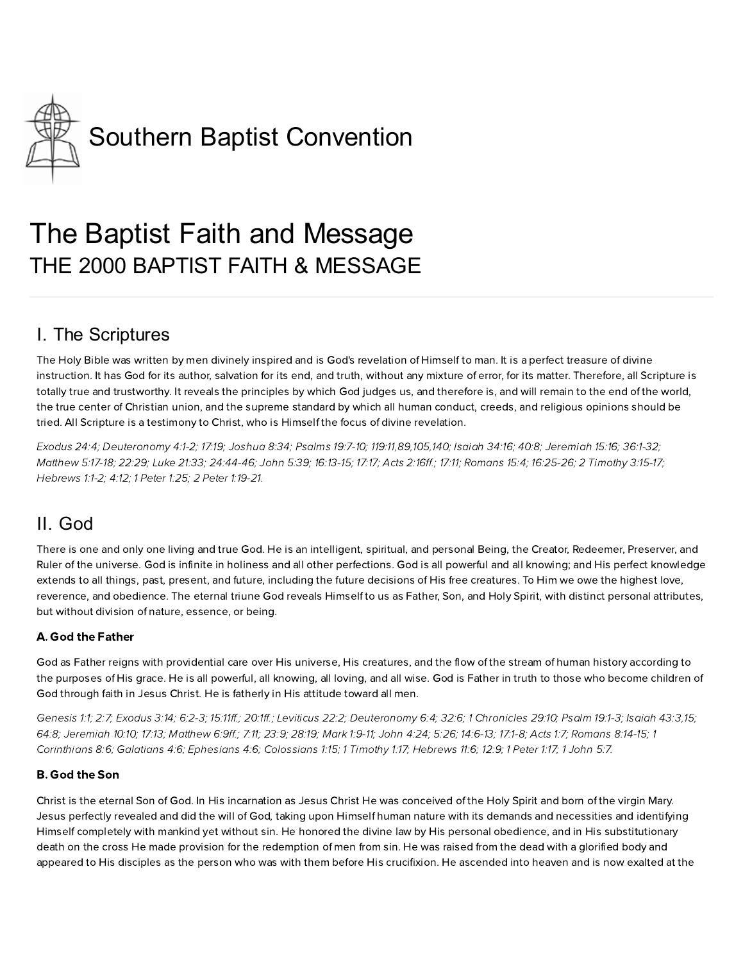

# The Baptist Faith and Message THE 2000 BAPTIST FAITH & MESSAGE

# I. The Scriptures

The Holy Bible was written by men divinely inspired and is God's revelation of Himself to man. It is a perfect treasure of divine instruction. It has God for its author, salvation for its end, and truth, without any mixture of error, for its matter. Therefore, all Scripture is totally true and trustworthy. It reveals the principles by which God judges us, and therefore is, and will remain to the end of the world, the true center of Christian union, and the supreme standard by which all human conduct, creeds, and religious opinions should be tried. All Scripture is a testimony to Christ, who is Himself the focus of divine revelation.

[xodus](http://biblia.com/bible/hcsb/Exodus%2024.4) 24:4; [Deuteronom](http://biblia.com/bible/hcsb/Deuteronomy%204.1-2) 4:1-2; [17:19;](http://biblia.com/bible/hcsb/Deuteronomy%2017.19) [Joshua](http://biblia.com/bible/hcsb/Joshua%208.34) 8:34; [Psalms](http://biblia.com/bible/hcsb/Psalms%2019.7-10) 19:7-10; [119:11](http://biblia.com/bible/hcsb/Psalms%20119.11),[89,](http://biblia.com/bible/hcsb/Psalms%20119.89)[105,](http://biblia.com/bible/hcsb/Psalms%20119.105)[140;](http://biblia.com/bible/hcsb/Psalms%20119.140) [Isaiah](http://biblia.com/bible/hcsb/Isaiah%2034.16) 34:16; [40:8;](http://biblia.com/bible/hcsb/Isaiah%2040.8) [Jeremiah](http://biblia.com/bible/hcsb/Jeremiah%2015.16) 15:16; [36:1-32](http://biblia.com/bible/hcsb/Jeremiah%2036.1-32); [Matthew](http://biblia.com/bible/hcsb/Matthew%205.17-18) 5:17-18; [22:29](http://biblia.com/bible/hcsb/Matthew%2022.29); Luke [21:33](http://biblia.com/bible/hcsb/Luke%2021.33); [24:44-46;](http://biblia.com/bible/hcsb/Luke%2024.44-46) [John](http://biblia.com/bible/hcsb/John%205.39) 5:39; [16:13-15](http://biblia.com/bible/hcsb/John%2016.13-15); [17:17;](http://biblia.com/bible/hcsb/John%2017.17) Acts [2:16ff](http://biblia.com/bible/hcsb/Acts%202.16ff).; [17:11;](http://biblia.com/bible/hcsb/Acts%2017.11) [Romans](http://biblia.com/bible/hcsb/Romans%2015.4) 15:4; [16:25-26](http://biblia.com/bible/hcsb/Romans%2016.25-26); 2 [Timoth](http://biblia.com/bible/hcsb/2%20Timothy%203.15-17) 3:15-17; Hebrews 1:1-2: [4:12](http://biblia.com/bible/hcsb/Hebrews%204.12): 1 [Peter](http://biblia.com/bible/hcsb/1%20Peter%201.25) 1:25: 2 Peter [1:19-21.](http://biblia.com/bible/hcsb/2%20Peter%201.19-21)

### II. God

There is one and only one living and true God. He is an intelligent, spiritual, and personal Being, the Creator, Redeemer, Preserver, and Ruler of the universe. God is infinite in holiness and all other perfections. God is all powerful and all knowing; and His perfect knowledge extends to all things, past, present, and future, including the future decisions of His free creatures. To Him we owe the highest love, reverence, and obedience. The eternal triune God reveals Himself to us as Father, Son, and Holy Spirit, with distinct personal attributes, but without division of nature, essence, or being.

#### A. God the Father

God as Father reigns with providential care over His universe, His creatures, and the flow of the stream of human history according to the purposes of His grace. He is all powerful, all knowing, all loving, and all wise. God is Father in truth to those who ecome children of God through faith in Jesus Christ. He is fatherly in His attitude toward all men.

[Genesis](http://biblia.com/bible/hcsb/Genesis%201.1) 1:1; [2:7](http://biblia.com/bible/hcsb/Genesis%202.7); E[xodus](http://biblia.com/bible/hcsb/Exodus%203.14) 3:14; [6:2-3;](http://biblia.com/bible/hcsb/Exodus%206.2-3) [15:11ff.](http://biblia.com/bible/hcsb/Exodus%2015.11ff); [20:1ff.](http://biblia.com/bible/hcsb/Exodus%2020.1ff); [Leviticus](http://biblia.com/bible/hcsb/Leviticus%2022.2) 22:2; [Deuteronom](http://biblia.com/bible/hcsb/Deuteronomy%206.4)y 6:4; [32:6](http://biblia.com/bible/hcsb/Deuteronomy%2032.6); 1 [Chronicles](http://biblia.com/bible/hcsb/1%20Chronicles%2029.10) 29:10; [Psalm](http://biblia.com/bible/hcsb/Psalm%2019.1-3) 19:1-3; [Isaiah](http://biblia.com/bible/hcsb/Isaiah%2043.3) 43:3,[15](http://biblia.com/bible/hcsb/Isaiah%2043.15); [64:8](http://biblia.com/bible/hcsb/Isaiah%2064.8); [Jeremiah](http://biblia.com/bible/hcsb/Jeremiah%2010.10) 10:10; [17:13;](http://biblia.com/bible/hcsb/Jeremiah%2017.13) [Matthew](http://biblia.com/bible/hcsb/Matthew%206.9ff) 6:9ff.; [7:11;](http://biblia.com/bible/hcsb/Matthew%207.11) [23:9](http://biblia.com/bible/hcsb/Matthew%2023.9); [28:19;](http://biblia.com/bible/hcsb/Matthew%2028.19) [Mark](http://biblia.com/bible/hcsb/Mark%201.9-11) 1:9-11; [John](http://biblia.com/bible/hcsb/John%204.24) 4:24; [5:26;](http://biblia.com/bible/hcsb/John%205.26) [14:6-13;](http://biblia.com/bible/hcsb/John%2014.6-13) [17:1-8](http://biblia.com/bible/hcsb/John%2017.1-8); [Acts](http://biblia.com/bible/hcsb/Acts%201.7) 1:7; [Romans](http://biblia.com/bible/hcsb/Romans%208.14-15) 8:14-15; 1 [Corinthians](http://biblia.com/bible/hcsb/1%20Corinthians%208.6) 8:6; [Galatians](http://biblia.com/bible/hcsb/Galatians%204.6) 4:6; E[phesians](http://biblia.com/bible/hcsb/Ephesians%204.6) 4:6; [Colossians](http://biblia.com/bible/hcsb/Colossians%201.15) 1:15; 1 [Timoth](http://biblia.com/bible/hcsb/1%20Timothy%201.17)y 1:17; Hebrews 11:6; [12:9;](http://biblia.com/bible/hcsb/Hebrews%2012.9) 1 [Peter](http://biblia.com/bible/hcsb/1%20Peter%201.17) 1:17; 1 [John](http://biblia.com/bible/hcsb/1%20John%205.7) 5:7.

#### **B.** God the Son

Christ is the eternal Son of God. In His incarnation as Jesus Christ He was conceived of the Holy Spirit and born of the virgin Mary. Jesus perfectly revealed and did the will of God, taking upon Himself human nature with its demands and necessities and identifying Himself completely with mankind yet without sin. He honored the divine law by His personal obedience, and in His substitutionary death on the cross He made provision for the redemption of men from sin. He was raised from the dead with a glorified body and appeared to His disciples as the person who was with them before His crucifixion. He ascended into heaven and is now exalted at the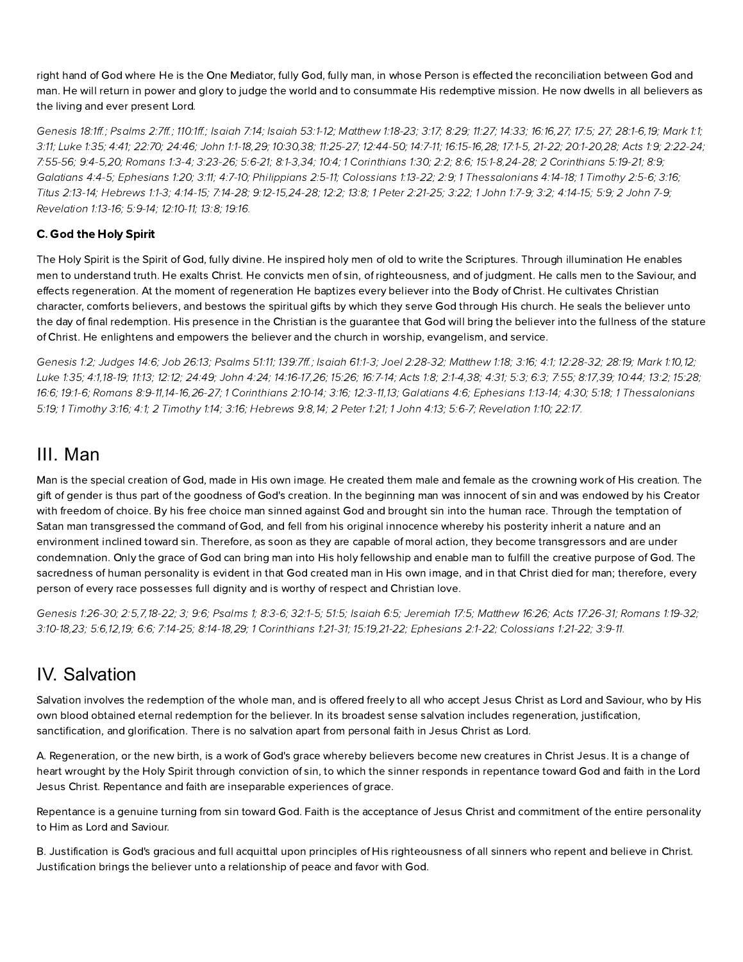right hand of God where He is the One Mediator, fully God, fully man, in whose Person is effected the reconciliation between God and man. He will return in power and glory to judge the world and to consummate His redemptive mission. He now dwells in all believers as the living and ever present Lord.

[Genesis](http://biblia.com/bible/hcsb/Genesis%2018.1ff) 18:1ff.; [Psalms](http://biblia.com/bible/hcsb/Psalms%202.7ff) 2:7ff.; [110:1ff.](http://biblia.com/bible/hcsb/Psalms%20110.1ff); [Isaiah](http://biblia.com/bible/hcsb/Isaiah%207.14) 7:14; Isaiah [53:1-12](http://biblia.com/bible/hcsb/Isaiah%2053.1-12); [Matthew](http://biblia.com/bible/hcsb/Matthew%201.18-23) 1:18-23; [3:17](http://biblia.com/bible/hcsb/Matthew%203.17); [8:29;](http://biblia.com/bible/hcsb/Matthew%208.29) [11:27](http://biblia.com/bible/hcsb/Matthew%2011.27); [14:33;](http://biblia.com/bible/hcsb/Matthew%2014.33) [16:16](http://biblia.com/bible/hcsb/Matthew%2016.16)[,27](http://biblia.com/bible/hcsb/Matthew%2016.27); [17:5;](http://biblia.com/bible/hcsb/Matthew%2017.5) [27;](http://biblia.com/bible/hcsb/Matthew%2017.27) [28:1-6](http://biblia.com/bible/hcsb/Matthew%2028.1-6),[19;](http://biblia.com/bible/hcsb/Matthew%2028.19) [Mark](http://biblia.com/bible/hcsb/Mark%201.1) 1:1; [3:11;](http://biblia.com/bible/hcsb/Mark%203.11) [Luke](http://biblia.com/bible/hcsb/Luke%201.35) 1:35; [4:41;](http://biblia.com/bible/hcsb/Luke%204.41) [22:70;](http://biblia.com/bible/hcsb/Luke%2022.70) [24:46;](http://biblia.com/bible/hcsb/Luke%2024.46) [John](http://biblia.com/bible/hcsb/John%201.1-18) 1:1-18,[29;](http://biblia.com/bible/hcsb/John%201.29) [10:30,](http://biblia.com/bible/hcsb/John%2010.30)[38;](http://biblia.com/bible/hcsb/John%2010.38) [11:25-27;](http://biblia.com/bible/hcsb/John%2011.25-27) [12:44-50;](http://biblia.com/bible/hcsb/John%2012.44-50) [14:7-11;](http://biblia.com/bible/hcsb/John%2014.7-11) [16:15-16,](http://biblia.com/bible/hcsb/John%2016.15-16)[28;](http://biblia.com/bible/hcsb/John%2016.28) [17:1-5,](http://biblia.com/bible/hcsb/John%2017.1-5) [21-22](http://biblia.com/bible/hcsb/John%2017.21-22); [20:1-20,](http://biblia.com/bible/hcsb/John%2020.1-20)[28;](http://biblia.com/bible/hcsb/John%2020.28) [Acts](http://biblia.com/bible/hcsb/Acts%201.9) 1:9; [2:22-24](http://biblia.com/bible/hcsb/Acts%202.22-24); [7:55-56](http://biblia.com/bible/hcsb/Acts%207.55-56); [9:4-5,](http://biblia.com/bible/hcsb/Acts%209.4-5)[20](http://biblia.com/bible/hcsb/Acts%209.20); [Romans](http://biblia.com/bible/hcsb/Romans%201.3-4) 1:3-4; [3:23-26;](http://biblia.com/bible/hcsb/Romans%203.23-26) [5:6-21;](http://biblia.com/bible/hcsb/Romans%205.6-21) [8:1-3,](http://biblia.com/bible/hcsb/Romans%208.1-3)[34;](http://biblia.com/bible/hcsb/Romans%208.34) [10:4;](http://biblia.com/bible/hcsb/Romans%2010.4) 1 [Corinthians](http://biblia.com/bible/hcsb/1%20Corinthians%201.30) 1:30; [2:2](http://biblia.com/bible/hcsb/1%20Corinthians%202.2); [8:6;](http://biblia.com/bible/hcsb/1%20Corinthians%208.6) [15:1-8,](http://biblia.com/bible/hcsb/1%20Corinthians%2015.1-8)[24-28](http://biblia.com/bible/hcsb/1%20Corinthians%2015.24-28); 2 [Corinthians](http://biblia.com/bible/hcsb/2%20Corinthians%205.19-21) 5:19-21; [8:9](http://biblia.com/bible/hcsb/2%20Corinthians%208.9); [Galatians](http://biblia.com/bible/hcsb/Galatians%204.4-5) 4:4-5; E[phesians](http://biblia.com/bible/hcsb/Ephesians%201.20) 1:20; [3:11;](http://biblia.com/bible/hcsb/Ephesians%203.11) [4:7-10;](http://biblia.com/bible/hcsb/Ephesians%204.7-10) [Philippians](http://biblia.com/bible/hcsb/Philippians%202.5-11) 2:5-11; [Colossians](http://biblia.com/bible/hcsb/Colossians%201.13-22) 1:13-22; [2:9](http://biblia.com/bible/hcsb/Colossians%202.9); 1 [Thessalonians](http://biblia.com/bible/hcsb/1%20Thessalonians%204.14-18) 4:14-18; 1 [Timoth](http://biblia.com/bible/hcsb/1%20Timothy%202.5-6)y 2:5-6; [3:16](http://biblia.com/bible/hcsb/1%20Timothy%203.16); Titus [2:13-14](http://biblia.com/bible/hcsb/Titus%202.13-14); Hebrews 1:1-3; [4:14-15;](http://biblia.com/bible/hcsb/1%20John%204.14-15) [7:14-28;](http://biblia.com/bible/hcsb/Hebrews%207.14-28) [9:12-15](http://biblia.com/bible/hcsb/Hebrews%209.12-15),[24-28;](http://biblia.com/bible/hcsb/Hebrews%209.24-28) [12:2;](http://biblia.com/bible/hcsb/Hebrews%2012.2) [13:8](http://biblia.com/bible/hcsb/Hebrews%2013.8); 1 Peter [2:21-25](http://biblia.com/bible/hcsb/1%20Peter%202.21-25); [3:22;](http://biblia.com/bible/hcsb/1%20Peter%203.22) 1 [John](http://biblia.com/bible/hcsb/2%20John%207-9) 1:7-9; [3:2;](http://biblia.com/bible/hcsb/1%20John%203.2) 4:14-15; [5:9](http://biblia.com/bible/hcsb/1%20John%205.9); 2 John 7-9; [Revelation](http://biblia.com/bible/hcsb/Revelation%201.13-16) 1:13-16; [5:9-14;](http://biblia.com/bible/hcsb/Revelation%205.9-14) [12:10-11;](http://biblia.com/bible/hcsb/Revelation%2012.10-11) [13:8;](http://biblia.com/bible/hcsb/Revelation%2013.8) [19:16](http://biblia.com/bible/hcsb/Revelation%2019.16).

#### C. God the Holy Spirit

The Holy Spirit is the Spirit of God, fully divine. He inspired holy men of old to write the Scriptures. Through illumination He enables men to understand truth. He exalts Christ. He convicts men of sin, of righteousness, and of judgment. He calls men to the Saviour, and effects regeneration. At the moment of regeneration He baptizes every believer into the Body of Christ. He cultivates Christian character, comforts believers, and bestows the spiritual gifts by which they serve God through His church. He seals the believer unto the day of final redemption. His presence in the Christian is the guarantee that God will bring the believer into the fullness of the stature of Christ. He enlightens and empowers the believer and the church in worship, evangelism, and service.

[Genesis](http://biblia.com/bible/hcsb/Genesis%201.2) 1:2; [Judges](http://biblia.com/bible/hcsb/Judges%2014.6) 14:6; Job [26:13](http://biblia.com/bible/hcsb/Job%2026.13); [Psalms](http://biblia.com/bible/hcsb/Psalms%2051.11) 51:11; [139:7ff](http://biblia.com/bible/hcsb/Psalms%20139.7ff).; [Isaiah](http://biblia.com/bible/hcsb/Isaiah%2061.1-3) 61:1-3; Joel [2:28-32](http://biblia.com/bible/hcsb/Joel%202.28-32); [Matthew](http://biblia.com/bible/hcsb/Matthew%201.18) 1:18; [3:16](http://biblia.com/bible/hcsb/Matthew%203.16); [4:1](http://biblia.com/bible/hcsb/Matthew%204.1); [12:28-32](http://biblia.com/bible/hcsb/Matthew%2012.28-32); [28:19;](http://biblia.com/bible/hcsb/Matthew%2028.19) [Mark](http://biblia.com/bible/hcsb/Mark%201.10) 1:10,[12;](http://biblia.com/bible/hcsb/Mark%201.12) [Luke](http://biblia.com/bible/hcsb/Luke%201.35) 1:35; [4:1,](http://biblia.com/bible/hcsb/Luke%204.1)[18-19;](http://biblia.com/bible/hcsb/Luke%204.18-19) [11:13;](http://biblia.com/bible/hcsb/Luke%2011.13) [12:12;](http://biblia.com/bible/hcsb/Luke%2012.12) [24:49;](http://biblia.com/bible/hcsb/Luke%2024.49) [John](http://biblia.com/bible/hcsb/John%204.24) 4:24; [14:16-17,](http://biblia.com/bible/hcsb/John%2014.16-17)[26](http://biblia.com/bible/hcsb/John%2014.26); [15:26;](http://biblia.com/bible/hcsb/John%2015.26) [16:7-14;](http://biblia.com/bible/hcsb/John%2016.7-14) [Acts](http://biblia.com/bible/hcsb/Acts%201.8) 1:8; [2:1-4](http://biblia.com/bible/hcsb/Acts%202.1-4),[38;](http://biblia.com/bible/hcsb/Acts%202.38) [4:31;](http://biblia.com/bible/hcsb/Acts%204.31) [5:3;](http://biblia.com/bible/hcsb/Acts%205.3) [6:3;](http://biblia.com/bible/hcsb/Acts%206.3) [7:55;](http://biblia.com/bible/hcsb/Acts%207.55) [8:17](http://biblia.com/bible/hcsb/Acts%208.17),[39;](http://biblia.com/bible/hcsb/Acts%208.39) [10:44;](http://biblia.com/bible/hcsb/Acts%2010.44) [13:2;](http://biblia.com/bible/hcsb/Acts%2013.2) [15:28](http://biblia.com/bible/hcsb/Acts%2015.28); [16:6](http://biblia.com/bible/hcsb/Acts%2016.6); [19:1-6](http://biblia.com/bible/hcsb/Acts%2019.1-6); [Romans](http://biblia.com/bible/hcsb/Romans%208.9-11) [8:9-11,1](http://biblia.com/bible/hcsb/1%20Thessalonians%205.19)[4-16](http://biblia.com/bible/hcsb/Romans%208.14-16)[,2](http://biblia.com/bible/hcsb/1%20Thessalonians%205.19)[6-2](http://biblia.com/bible/hcsb/Romans%208.26-27)[7;](http://biblia.com/bible/hcsb/1%20Thessalonians%205.19) 1 [Corinthians](http://biblia.com/bible/hcsb/1%20Corinthians%202.10-14) 2:10-14; [3:16;](http://biblia.com/bible/hcsb/1%20Corinthians%203.16) [12:3-11](http://biblia.com/bible/hcsb/1%20Corinthians%2012.3-11),[13;](http://biblia.com/bible/hcsb/1%20Corinthians%2012.13) [Galatians](http://biblia.com/bible/hcsb/Galatians%204.6) 4:6; [phesians](http://biblia.com/bible/hcsb/Ephesians%201.13-14) 1:13-14; [4:30](http://biblia.com/bible/hcsb/Ephesians%204.30); [5:18;](http://biblia.com/bible/hcsb/Ephesians%205.18) 1 Thessalonians 5:19; 1 [Timoth](http://biblia.com/bible/hcsb/2%20Timothy%201.14)y 3:16; [4:1](http://biblia.com/bible/hcsb/1%20Timothy%204.1); 2 Timothy 1:14; [3:16](http://biblia.com/bible/hcsb/2%20Timothy%203.16); Hebrews 9:8,[14](http://biblia.com/bible/hcsb/Hebrews%209.14); 2 [Peter](http://biblia.com/bible/hcsb/2%20Peter%201.21) 1:21; 1 [John](http://biblia.com/bible/hcsb/1%20John%204.13) 4:13; [5:6-7;](http://biblia.com/bible/hcsb/1%20John%205.6-7) [Revelation](http://biblia.com/bible/hcsb/Revelation%201.10) 1:10; [22:17.](http://biblia.com/bible/hcsb/Revelation%2022.17)

#### III. Man

Man is the special creation of God, made in His own image. He created them male and female as the crowning work of His creation. The gift of gender is thus part of the goodness of God's creation. In the beginning man was innocent of sin and was endowed by his Creator with freedom of choice. By his free choice man sinned against God and brought sin into the human race. Through the temptation of Satan man transgressed the command of God, and fell from his original innocence whereby his posterity inherit a nature and an environment inclined toward sin. Therefore, as soon as they are capable of moral action, they become transgressors and are under condemnation. Only the grace of God can bring man into His holy fellowship and enable man to fulfill the creative purpose of God. The sacredness of human personality is evident in that God created man in His own image, and in that Christ died for man; therefore, every person of every race possesses full dignity and is worthy of respect and Christian love.

[Genesis](http://biblia.com/bible/hcsb/Genesis%201.26-30) 1:26-30; [2:5,](http://biblia.com/bible/hcsb/Genesis%202.5)[7,](http://biblia.com/bible/hcsb/Genesis%202.7)[18-22;](http://biblia.com/bible/hcsb/Genesis%202.18-22) [3](http://biblia.com/bible/hcsb/Genesis%202.3); [9:6;](http://biblia.com/bible/hcsb/Genesis%209.6) Psalms 1; 8:3-6; 32:1-5; 51:5; [Isaiah](http://biblia.com/bible/hcsb/Isaiah%206.5) 6:5; [Jeremiah](http://biblia.com/bible/hcsb/Jeremiah%2017.5) 17:5; [Matthew](http://biblia.com/bible/hcsb/Matthew%2016.26) 16:26; Acts [17:26-31](http://biblia.com/bible/hcsb/Acts%2017.26-31); [Romans](http://biblia.com/bible/hcsb/Romans%201.19-32) 1:19-32; [3:10-18](http://biblia.com/bible/hcsb/Romans%203.10-18),[23](http://biblia.com/bible/hcsb/Romans%203.23); [5:6](http://biblia.com/bible/hcsb/Romans%205.6),[12,](http://biblia.com/bible/hcsb/Romans%205.12)[19](http://biblia.com/bible/hcsb/Romans%205.19); [6:6;](http://biblia.com/bible/hcsb/Romans%206.6) [7:14-25;](http://biblia.com/bible/hcsb/Romans%207.14-25) [8:14-18](http://biblia.com/bible/hcsb/Romans%208.14-18)[,29;](http://biblia.com/bible/hcsb/Romans%208.29) 1 [Corinthians](http://biblia.com/bible/hcsb/1%20Corinthians%201.21-31) 1:21-31; [15:19,](http://biblia.com/bible/hcsb/1%20Corinthians%2015.19)[21-22;](http://biblia.com/bible/hcsb/1%20Corinthians%2015.21-22) [phesians](http://biblia.com/bible/hcsb/Ephesians%202.1-22) 2:1-22; [Colossians](http://biblia.com/bible/hcsb/Colossians%201.21-22) 1:21-22; [3:9-11](http://biblia.com/bible/hcsb/Colossians%203.9-11).

# IV. Salvation

Salvation involves the redemption of the whole man, and is offered freely to all who accept Jesus Christ as Lord and Saviour, who by His own blood obtained eternal redemption for the believer. In its broadest sense salvation includes regeneration, justification, sanctification, and glorification. There is no salvation apart from personal faith in Jesus Christ as Lord.

A. Regeneration, or the new birth, is a work of God's grace whereby believers become new creatures in Christ Jesus. It is a change of heart wrought by the Holy Spirit through conviction of sin, to which the sinner responds in repentance toward God and faith in the Lord Jesus Christ. Repentance and faith are inseparable experiences of grace.

Repentance is a genuine turning from sin toward God. Faith is the acceptance of Jesus Christ and commitment of the entire personality to Him as Lord and Saviour.

. Justification is God's gracious and full acquittal upon principles of His righteousness of all sinners who repent and elieve in Christ. Justification brings the believer unto a relationship of peace and favor with God.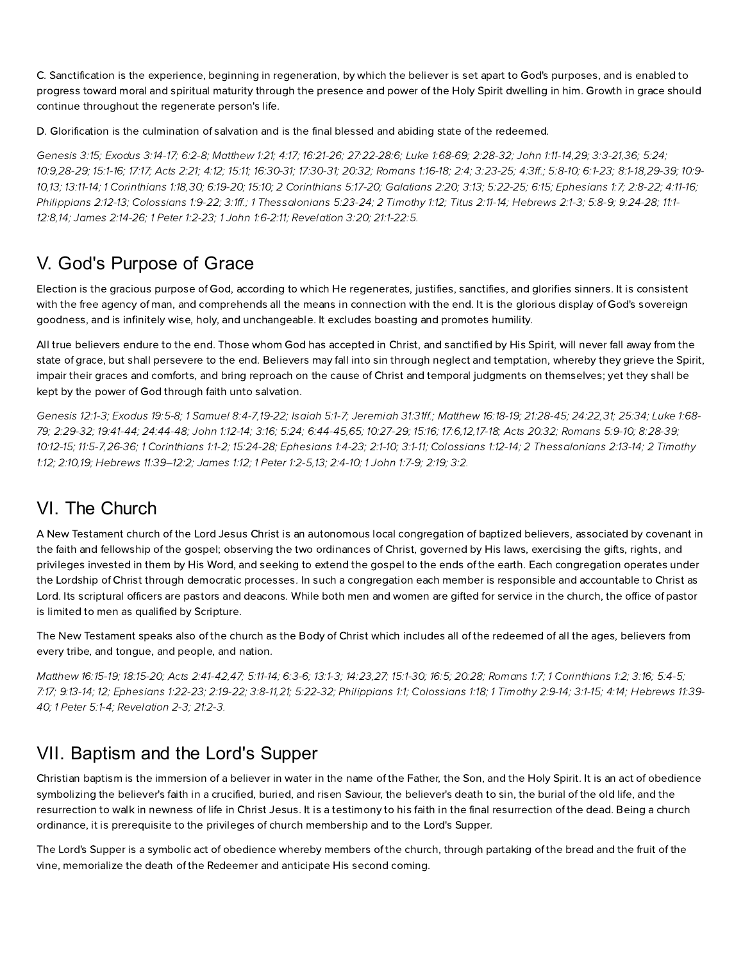C. Sanctification is the experience, beginning in regeneration, by which the believer is set apart to God's purposes, and is enabled to progress toward moral and spiritual maturity through the presence and power of the Holy Spirit dwelling in him. Growth in grace should continue throughout the regenerate person's life.

D. Glorification is the culmination of salvation and is the final blessed and abiding state of the redeemed.

[Genesis](http://biblia.com/bible/hcsb/Genesis%203.15) 3:15; E[xodus](http://biblia.com/bible/hcsb/Exodus%203.14-17) 3:14-17; [6:2-8;](http://biblia.com/bible/hcsb/Exodus%206.2-8) [Matthew](http://biblia.com/bible/hcsb/Matthew%201.21) 1:21; [4:17;](http://biblia.com/bible/hcsb/Matthew%204.17) [16:21-26;](http://biblia.com/bible/hcsb/Matthew%2016.21-26) [27:22-28:6;](http://biblia.com/bible/hcsb/Matthew%2027.22-28.6) Luke [1:68-69;](http://biblia.com/bible/hcsb/Luke%201.68-69) [2:28-32;](http://biblia.com/bible/hcsb/Luke%202.28-32) John [1:11-14](http://biblia.com/bible/hcsb/John%201.11-14),[29](http://biblia.com/bible/hcsb/John%201.29); [3:3-21,](http://biblia.com/bible/hcsb/John%203.3-21)[36](http://biblia.com/bible/hcsb/John%203.36); [5:24](http://biblia.com/bible/hcsb/John%205.24); [10:9](http://biblia.com/bible/hcsb/John%2010.9)[,28-29](http://biblia.com/bible/hcsb/John%2010.28-29); [15:1-16;](http://biblia.com/bible/hcsb/John%2015.1-16) [17:17](http://biblia.com/bible/hcsb/John%2017.17); [Acts](http://biblia.com/bible/hcsb/Acts%202.21) 2:21; [4:12](http://biblia.com/bible/hcsb/Acts%204.12); [15:11](http://biblia.com/bible/hcsb/Acts%2015.11); [16:30-31](http://biblia.com/bible/hcsb/Acts%2016.30-31); [17:30-31](http://biblia.com/bible/hcsb/Acts%2017.30-31); [20:32](http://biblia.com/bible/hcsb/Acts%2020.32); [Romans](http://biblia.com/bible/hcsb/Romans%201.16-18) 1:16-18; [2:4;](http://biblia.com/bible/hcsb/Romans%202.4) [3:23-25;](http://biblia.com/bible/hcsb/Romans%203.23-25) [4:3ff.](http://biblia.com/bible/hcsb/Romans%204.3ff); [5:8-10;](http://biblia.com/bible/hcsb/Romans%205.8-10) [6:1-23;](http://biblia.com/bible/hcsb/Romans%206.1-23) [8](http://biblia.com/bible/hcsb/Romans%2010.9-10)[:1-1](http://biblia.com/bible/hcsb/Romans%208.1-18)[8,2](http://biblia.com/bible/hcsb/Romans%2010.9-10)[9-39](http://biblia.com/bible/hcsb/Romans%208.29-39)[;](http://biblia.com/bible/hcsb/Romans%2010.9-10) 10:9- 10,[13](http://biblia.com/bible/hcsb/Romans%2010.13); [13:11-14](http://biblia.com/bible/hcsb/Romans%2013.11-14); 1 [Corinthians](http://biblia.com/bible/hcsb/1%20Corinthians%201.18) 1:18,[30](http://biblia.com/bible/hcsb/1%20Corinthians%201.30); [6:19-20;](http://biblia.com/bible/hcsb/1%20Corinthians%206.19-20) [15:10](http://biblia.com/bible/hcsb/1%20Corinthians%2015.10); 2 [Corinthians](http://biblia.com/bible/hcsb/2%20Corinthians%205.17-20) 5:17-20; [Galatians](http://biblia.com/bible/hcsb/Galatians%202.20) 2:20; [3:13;](http://biblia.com/bible/hcsb/Galatians%203.13) [5:22-25;](http://biblia.com/bible/hcsb/Galatians%205.22-25) [6:15](http://biblia.com/bible/hcsb/Galatians%206.15); [phesians](http://biblia.com/bible/hcsb/Ephesians%201.7) 1:7; [2:8-22](http://biblia.com/bible/hcsb/Ephesians%202.8-22); [4:11-16](http://biblia.com/bible/hcsb/Ephesians%204.11-16); [Philippians](http://biblia.com/bible/hcsb/Philippians%202.12-13) 2:12-13; [Colossians](http://biblia.com/bible/hcsb/Colossians%201.9-22) 1:9-22; [3:1ff.](http://biblia.com/bible/hcsb/Colossians%203.1ff); 1 [Thessalonians](http://biblia.com/bible/hcsb/1%20Thessalonians%205.23-24) 5:23-24; 2 [Timoth](http://biblia.com/bible/hcsb/2%20Timothy%201.12)y 1:12; Titus [2:11-14](http://biblia.com/bible/hcsb/Titus%202.11-14); Hebrews 2:1-3; [5:8-9;](http://biblia.com/bible/hcsb/Hebrews%205.8-9) [9:24-28;](http://biblia.com/bible/hcsb/Hebrews%209.24-28) 11:1-12:8[,14;](http://biblia.com/bible/hcsb/Hebrews%2011.14) James [2:14-26;](http://biblia.com/bible/hcsb/James%202.14-26) 1 Peter [1:2-23;](http://biblia.com/bible/hcsb/1%20Peter%201.2-23) 1 John [1:6-2:11;](http://biblia.com/bible/hcsb/1%20John%201.6-2.11) [Revelation](http://biblia.com/bible/hcsb/Revelation%203.20) 3:20; [21:1-22:5.](http://biblia.com/bible/hcsb/Revelation%2021.1-22.5)

## V. God's Purpose of Grace

lection is the gracious purpose of God, according to which He regenerates, justifies, sanctifies, and glorifies sinners. It is consistent with the free agency of man, and comprehends all the means in connection with the end. It is the glorious display of God's sovereign goodness, and is infinitely wise, holy, and unchangeable. It excludes boasting and promotes humility.

All true believers endure to the end. Those whom God has accepted in Christ, and sanctified by His Spirit, will never fall away from the state of grace, but shall persevere to the end. Believers may fall into sin through neglect and temptation, whereby they grieve the Spirit, impair their graces and comforts, and bring reproach on the cause of Christ and temporal judgments on themselves; yet they shall be kept by the power of God through faith unto salvation.

[Genesis](http://biblia.com/bible/hcsb/Genesis%2012.1-3) 12:1-3; E[xodus](http://biblia.com/bible/hcsb/Exodus%2019.5-8) 19:5-8; 1 S[amuel](http://biblia.com/bible/hcsb/1%20Samuel%208.4-7) 8:4-7,[19-22;](http://biblia.com/bible/hcsb/1%20Samuel%208.19-22) [Isaiah](http://biblia.com/bible/hcsb/Isaiah%205.1-7) 5:1-7; [Jeremiah](http://biblia.com/bible/hcsb/Jeremiah%2031.31ff) 31:31ff.; [Matthew](http://biblia.com/bible/hcsb/Matthew%2016.18-19) 16:18-19; [21:28-45;](http://biblia.com/bible/hcsb/Matthew%2021.28-45) [24:22](http://biblia.com/bible/hcsb/Matthew%2024.22),[31;](http://biblia.com/bible/hcsb/Matthew%2024.31) [25:34;](http://biblia.com/bible/hcsb/Matthew%2025.34) Luke 1:68-79; [2:29-32](http://biblia.com/bible/hcsb/Luke%202.29-32); [19:41-44;](http://biblia.com/bible/hcsb/Luke%2019.41-44) [24:44-48](http://biblia.com/bible/hcsb/Luke%2024.44-48); John [1:12-14;](http://biblia.com/bible/hcsb/John%201.12-14) [3:16](http://biblia.com/bible/hcsb/John%203.16); [5:24;](http://biblia.com/bible/hcsb/John%205.24) [6:44-45,](http://biblia.com/bible/hcsb/John%206.44-45)[65;](http://biblia.com/bible/hcsb/John%206.65) [10:27-29;](http://biblia.com/bible/hcsb/John%2010.27-29) [15:16](http://biblia.com/bible/hcsb/John%2015.16); [17:6,12,17-18;](http://biblia.com/bible/hcsb/Luke%201.68-79) Acts [20:32;](http://biblia.com/bible/hcsb/Acts%2020.32) [Romans](http://biblia.com/bible/hcsb/Romans%205.9-10) 5:9-10; [8:28-39](http://biblia.com/bible/hcsb/Romans%208.28-39); [10:12-15](http://biblia.com/bible/hcsb/Romans%2010.12-15); [11:5-7,](http://biblia.com/bible/hcsb/Romans%2011.5-7)[26-36](http://biblia.com/bible/hcsb/Romans%2011.26-36); 1 [Corinthians](http://biblia.com/bible/hcsb/1%20Corinthians%201.1-2) 1:1-2; [15:24-28](http://biblia.com/bible/hcsb/1%20Corinthians%2015.24-28); E[phesians](http://biblia.com/bible/hcsb/Ephesians%201.4-23) 1:4-23; [2:1-10](http://biblia.com/bible/hcsb/Ephesians%202.1-10); [3:1-11](http://biblia.com/bible/hcsb/Ephesians%203.1-11); [Colossians](http://biblia.com/bible/hcsb/Colossians%201.12-14) 1:12-14; 2 [Thessalonians](http://biblia.com/bible/hcsb/2%20Thessalonians%202.13-14) 2:13-14; 2 Timothy 1:12; [2:10](http://biblia.com/bible/hcsb/2%20Timothy%202.10)[,19;](http://biblia.com/bible/hcsb/2%20Timothy%202.19) Herews [11:39–12:2;](http://biblia.com/bible/hcsb/Hebrews%2011.39%E2%80%9312.2) [James](http://biblia.com/bible/hcsb/James%201.12) 1:12; 1 [Peter](http://biblia.com/bible/hcsb/1%20Peter%201.2-5) 1:2-5,[13;](http://biblia.com/bible/hcsb/1%20Peter%201.13) [2:4-10;](http://biblia.com/bible/hcsb/1%20Peter%202.4-10) 1 [John](http://biblia.com/bible/hcsb/1%20John%201.7-9) 1:7-9; [2:19;](http://biblia.com/bible/hcsb/1%20John%202.19) [3:2.](http://biblia.com/bible/hcsb/1%20John%203.2)

# VI. The Church

A New Testament church of the Lord Jesus Christ is an autonomous local congregation of baptized believers, associated by covenant in the faith and fellowship of the gospel; observing the two ordinances of Christ, governed by His laws, exercising the gifts, rights, and privileges invested in them by His Word, and seeking to extend the gospel to the ends of the earth. Each congregation operates under the Lordship of Christ through democratic processes. In such a congregation each member is responsible and accountable to Christ as Lord. Its scriptural officers are pastors and deacons. While both men and women are gifted for service in the church, the office of pastor is limited to men as qualified by Scripture.

The New Testament speaks also of the church as the Body of Christ which includes all of the redeemed of all the ages, believers from every tribe, and tongue, and people, and nation.

[Matthew](http://biblia.com/bible/hcsb/Matthew%2016.15-19) 16:15-19; [18:15-20;](http://biblia.com/bible/hcsb/Matthew%2018.15-20) Acts [2:41-42](http://biblia.com/bible/hcsb/Acts%202.41-42)[,47](http://biblia.com/bible/hcsb/Acts%202.47); [5:11-14;](http://biblia.com/bible/hcsb/Acts%205.11-14) [6:3-6](http://biblia.com/bible/hcsb/Acts%206.3-6); [13:1-3](http://biblia.com/bible/hcsb/Acts%2013.1-3); [14:23,](http://biblia.com/bible/hcsb/Acts%2014.23)[27;](http://biblia.com/bible/hcsb/Acts%2014.27) [15:1-30](http://biblia.com/bible/hcsb/Acts%2015.1-30); [16:5;](http://biblia.com/bible/hcsb/Acts%2016.5) [20:28](http://biblia.com/bible/hcsb/Acts%2020.28); [Romans](http://biblia.com/bible/hcsb/Romans%201.7) 1:7; 1 [Corinthians](http://biblia.com/bible/hcsb/1%20Corinthians%201.2) 1:2; [3:16](http://biblia.com/bible/hcsb/1%20Corinthians%203.16); [5:4-5;](http://biblia.com/bible/hcsb/1%20Corinthians%205.4-5) [7:17;](http://biblia.com/bible/hcsb/1%20Corinthians%207.17) [9:13-14](http://biblia.com/bible/hcsb/1%20Corinthians%209.13-14); [12;](http://biblia.com/bible/hcsb/1%20Corinthians%209.12) E[phesians](http://biblia.com/bible/hcsb/Ephesians%201.22-23) 1:22-23; [2:19-22](http://biblia.com/bible/hcsb/Ephesians%202.19-22); [3:8-11,](http://biblia.com/bible/hcsb/Ephesians%203.8-11)[21](http://biblia.com/bible/hcsb/Ephesians%203.21); [5:22-32](http://biblia.com/bible/hcsb/Ephesians%205.22-32); [P](http://biblia.com/bible/hcsb/Hebrews%2011.39-40)[hilippians](http://biblia.com/bible/hcsb/Philippians%201.1) 1:1; [Colossians](http://biblia.com/bible/hcsb/Colossians%201.18) 1:18; 1 [Timoth](http://biblia.com/bible/hcsb/1%20Timothy%202.9-14)y 2:9-14; [3:1-15](http://biblia.com/bible/hcsb/1%20Timothy%203.1-15); [4:14;](http://biblia.com/bible/hcsb/1%20Timothy%204.14) Hebrews 11:39-40; 1 [Peter](http://biblia.com/bible/hcsb/1%20Peter%205.1-4) 5:1-4; Revelation 2-3; 21:2-3.

### VII. Baptism and the Lord's Supper

Christian baptism is the immersion of a believer in water in the name of the Father, the Son, and the Holy Spirit. It is an act of obedience symbolizing the believer's faith in a crucified, buried, and risen Saviour, the believer's death to sin, the burial of the old life, and the resurrection to walk in newness of life in Christ Jesus. It is a testimony to his faith in the final resurrection of the dead. Being a church ordinance, it is prerequisite to the privileges of church membership and to the Lord's Supper.

The Lord's Supper is a symbolic act of obedience whereby members of the church, through partaking of the bread and the fruit of the vine, memorialize the death of the Redeemer and anticipate His second coming.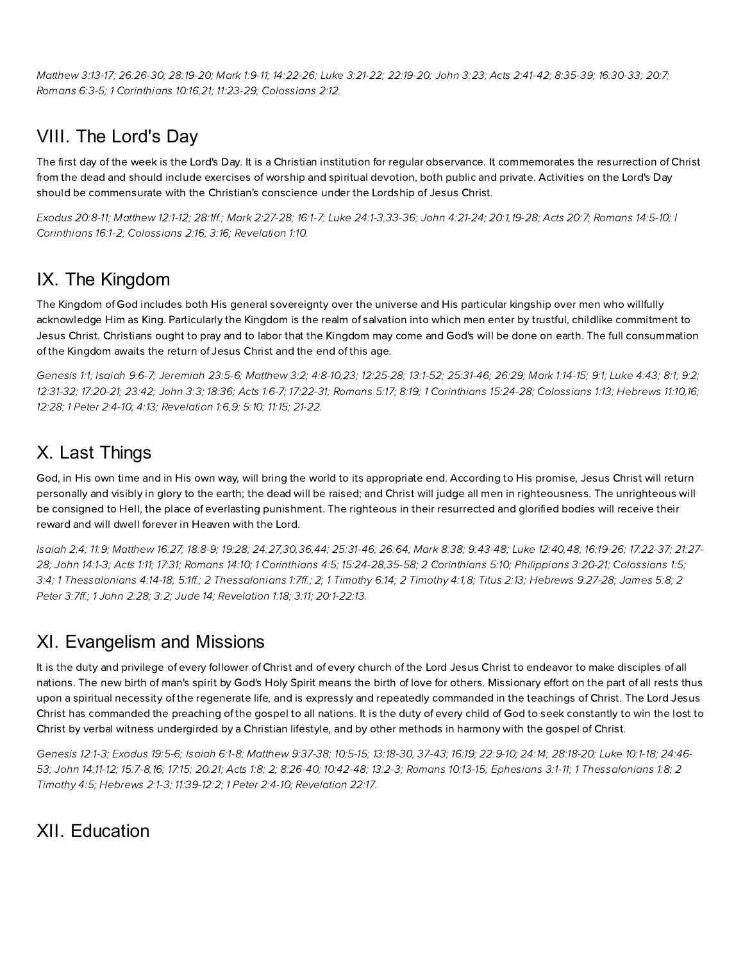[Matthew](http://biblia.com/bible/hcsb/Matthew%203.13-17) 3:13-17; [26:26-30;](http://biblia.com/bible/hcsb/Matthew%2026.26-30) [28:19-20;](http://biblia.com/bible/hcsb/Matthew%2028.19-20) [Mark](http://biblia.com/bible/hcsb/Mark%201.9-11) 1:9-11; [14:22-26](http://biblia.com/bible/hcsb/Mark%2014.22-26); Luke [3:21-22;](http://biblia.com/bible/hcsb/Luke%203.21-22) [22:19-20;](http://biblia.com/bible/hcsb/Luke%2022.19-20) [John](http://biblia.com/bible/hcsb/John%203.23) 3:23; Acts [2:41-42;](http://biblia.com/bible/hcsb/Acts%202.41-42) [8:35-39](http://biblia.com/bible/hcsb/Acts%208.35-39); [16:30-33](http://biblia.com/bible/hcsb/Acts%2016.30-33); [20:7;](http://biblia.com/bible/hcsb/Acts%2020.7) [Romans](http://biblia.com/bible/hcsb/Romans%206.3-5) 6:3-5; 1 [Corinthians](http://biblia.com/bible/hcsb/1%20Corinthians%2010.16) 10:16,[21](http://biblia.com/bible/hcsb/1%20Corinthians%2010.21); [11:23-29;](http://biblia.com/bible/hcsb/1%20Corinthians%2011.23-29) [Colossians](http://biblia.com/bible/hcsb/Colossians%202.12) 2:12.

## VIII. The Lord's Day

The first day of the week is the Lord's Day. It is a Christian institution for regular observance. It commemorates the resurrection of Christ from the dead and should include exercises of worship and spiritual devotion, both public and private. Activities on the Lord's Day should be commensurate with the Christian's conscience under the Lordship of Jesus Christ.

[xodus](http://biblia.com/bible/hcsb/Exodus%2020.8-11) 20:8-11; [Matthew](http://biblia.com/bible/hcsb/Matthew%2012.1-12) 12:1-12; [28:1ff](http://biblia.com/bible/hcsb/Matthew%2028.1ff).; Mark [2:27-28;](http://biblia.com/bible/hcsb/Mark%202.27-28) [16:1-7;](http://biblia.com/bible/hcsb/Mark%2016.1-7) Luke [24:1-3](http://biblia.com/bible/hcsb/Luke%2024.1-3)[,3](http://biblia.com/bible/hcsb/I%20Corinthians%2016.1-2)[3-3](http://biblia.com/bible/hcsb/Luke%2024.33-36)[6;](http://biblia.com/bible/hcsb/I%20Corinthians%2016.1-2) John [4:21-24](http://biblia.com/bible/hcsb/John%204.21-24); [20:1,](http://biblia.com/bible/hcsb/John%2020.1)[19-28;](http://biblia.com/bible/hcsb/John%2020.19-28) Acts [20:7;](http://biblia.com/bible/hcsb/Acts%2020.7) [Romans](http://biblia.com/bible/hcsb/Romans%2014.5-10) 14:5-10; I Corinthians 16:1-2; [Colossians](http://biblia.com/bible/hcsb/Colossians%202.16) 2:16; [3:16;](http://biblia.com/bible/hcsb/Colossians%203.16) [Revelation](http://biblia.com/bible/hcsb/Revelation%201.10) 1:10.

## IX. The Kingdom

The Kingdom of God includes both His general sovereignty over the universe and His particular kingship over men who willfully acknowledge Him as King. Particularly the Kingdom is the realm of salvation into which men enter by trustful, childlike commitment to Jesus Christ. Christians ought to pray and to labor that the Kingdom may come and God's will be done on earth. The full consummation of the Kingdom awaits the return of Jesus Christ and the end of this age.

[Genesis](http://biblia.com/bible/hcsb/Genesis%201.1) 1:1; [Isaiah](http://biblia.com/bible/hcsb/Isaiah%209.6-7) 9:6-7; [Jeremiah](http://biblia.com/bible/hcsb/Jeremiah%2023.5-6) 23:5-6; [Matthew](http://biblia.com/bible/hcsb/Matthew%203.2) 3:2; [4:8-10](http://biblia.com/bible/hcsb/Matthew%204.8-10),[23](http://biblia.com/bible/hcsb/Matthew%204.23); [12:25-28](http://biblia.com/bible/hcsb/Matthew%2012.25-28); [13:1-52;](http://biblia.com/bible/hcsb/Matthew%2013.1-52) [25:31-46;](http://biblia.com/bible/hcsb/Matthew%2025.31-46) [26:29;](http://biblia.com/bible/hcsb/Matthew%2026.29) Mark [1:14-15](http://biblia.com/bible/hcsb/Mark%201.14-15); [9:1](http://biblia.com/bible/hcsb/Mark%209.1); [Luke](http://biblia.com/bible/hcsb/Luke%204.43) 4:43; [8:1;](http://biblia.com/bible/hcsb/Luke%208.1) [9:2;](http://biblia.com/bible/hcsb/Luke%209.2) [12:31-32;](http://biblia.com/bible/hcsb/Luke%2012.31-32) [17:20-21;](http://biblia.com/bible/hcsb/Luke%2017.20-21) [23:42](http://biblia.com/bible/hcsb/Luke%2023.42); [John](http://biblia.com/bible/hcsb/John%203.3) 3:3; [18:36;](http://biblia.com/bible/hcsb/John%2018.36) Acts [1:6-7;](http://biblia.com/bible/hcsb/Acts%201.6-7) [17:22-31;](http://biblia.com/bible/hcsb/Acts%2017.22-31) [Romans](http://biblia.com/bible/hcsb/Romans%205.17) 5:17; [8:19;](http://biblia.com/bible/hcsb/Romans%208.19) 1 [Corinthians](http://biblia.com/bible/hcsb/1%20Corinthians%2015.24-28) 15:24-28; [Colossians](http://biblia.com/bible/hcsb/Colossians%201.13) 1:13; [Herews](http://biblia.com/bible/hcsb/Hebrews%2011.10) 11:10,[16;](http://biblia.com/bible/hcsb/Hebrews%2011.16) [12:28](http://biblia.com/bible/hcsb/Hebrews%2012.28); 1 Peter [2:4-10](http://biblia.com/bible/hcsb/1%20Peter%202.4-10); [4:13;](http://biblia.com/bible/hcsb/1%20Peter%204.13) [Revelation](http://biblia.com/bible/hcsb/Revelation%201.6) 1:6,[9;](http://biblia.com/bible/hcsb/Revelation%201.9) [5:10;](http://biblia.com/bible/hcsb/Revelation%205.10) [11:15;](http://biblia.com/bible/hcsb/Revelation%2011.15) [21-22.](http://biblia.com/bible/hcsb/Revelation%2011.21-22)

### X. Last Things

God, in His own time and in His own way, will bring the world to its appropriate end. According to His promise, Jesus Christ will return personally and visibly in glory to the earth; the dead will be raised; and Christ will judge all men in righteousness. The unrighteous will be consigned to Hell, the place of everlasting punishment. The righteous in their resurrected and glorified bodies will receive their reward and will dwell forever in Heaven with the Lord.

[Isaiah](http://biblia.com/bible/hcsb/Isaiah%202.4) 2:4; [11:9](http://biblia.com/bible/hcsb/Isaiah%2011.9); [Matthew](http://biblia.com/bible/hcsb/Matthew%2016.27) 16:27; [18:8-9](http://biblia.com/bible/hcsb/Matthew%2018.8-9); [19:28;](http://biblia.com/bible/hcsb/Matthew%2019.28) [24:27,](http://biblia.com/bible/hcsb/Matthew%2024.27)[30,](http://biblia.com/bible/hcsb/Matthew%2024.30)[36](http://biblia.com/bible/hcsb/Matthew%2024.36),[44](http://biblia.com/bible/hcsb/Matthew%2024.44); [25:31-46](http://biblia.com/bible/hcsb/Matthew%2025.31-46); [26:64;](http://biblia.com/bible/hcsb/Matthew%2026.64) [Mark](http://biblia.com/bible/hcsb/Mark%208.38) 8:38; [9:43-48](http://biblia.com/bible/hcsb/Mark%209.43-48); Luke [12:40](http://biblia.com/bible/hcsb/Luke%2012.40),[48;](http://biblia.com/bible/hcsb/Luke%2012.48) [16:19-26;](http://biblia.com/bible/hcsb/Luke%2016.19-26) [17:22-37](http://biblia.com/bible/hcsb/Luke%2017.22-37); 21:27- 28; John [14:1-3;](http://biblia.com/bible/hcsb/John%2014.1-3) [Acts](http://biblia.com/bible/hcsb/Acts%201.11) 1:11; [17:31](http://biblia.com/bible/hcsb/Acts%2017.31); [Romans](http://biblia.com/bible/hcsb/Romans%2014.10) 14:10; 1 [Corinthians](http://biblia.com/bible/hcsb/1%20Corinthians%204.5) 4:5; [15:24-28,35-58;](http://biblia.com/bible/hcsb/Luke%2021.27-28) 2 [Corinthians](http://biblia.com/bible/hcsb/2%20Corinthians%205.10) 5:10; [Philippians](http://biblia.com/bible/hcsb/Philippians%203.20-21) 3:20-21; [Colossians](http://biblia.com/bible/hcsb/Colossians%201.5) 1:5; [3:4](http://biblia.com/bible/hcsb/Colossians%203.4); 1 [Thessalonians](http://biblia.com/bible/hcsb/2%20Thessalonians%201.7ff) 4:14-18; [5:1ff.](http://biblia.com/bible/hcsb/1%20Thessalonians%205.1ff); 2 Thessalonians 1:7ff.; [2;](http://biblia.com/bible/hcsb/2%20Thessalonians%201.2) 1 [Timoth](http://biblia.com/bible/hcsb/2%20Timothy%204.1)y 6:14; 2 Timothy 4:1,[8](http://biblia.com/bible/hcsb/2%20Timothy%204.8); [Titus](http://biblia.com/bible/hcsb/Titus%202.13) 2:13; Hebrews 9:27-28; [James](http://biblia.com/bible/hcsb/James%205.8) 5:8; 2 Peter 3:7ff.; 1 [John](http://biblia.com/bible/hcsb/1%20John%202.28) 2:28; [3:2;](http://biblia.com/bible/hcsb/1%20John%203.2) [Jude](http://biblia.com/bible/hcsb/Jude%2014) 14; [Revelation](http://biblia.com/bible/hcsb/Revelation%201.18) 1:18; [3:11;](http://biblia.com/bible/hcsb/Revelation%203.11) [20:1-22:13.](http://biblia.com/bible/hcsb/Revelation%2020.1-22.13)

### XI. Evangelism and Missions

It is the duty and privilege of every follower of Christ and of every church of the Lord Jesus Christ to endeavor to make disciples of all nations. The new birth of man's spirit by God's Holy Spirit means the birth of love for others. Missionary effort on the part of all rests thus upon a spiritual necessity of the regenerate life, and is expressly and repeatedly commanded in the teachings of Christ. The Lord Jesus Christ has commanded the preaching of the gospel to all nations. It is the duty of every child of God to seek constantly to win the lost to Christ by verbal witness undergirded by a Christian lifestyle, and by other methods in harmony with the gospel of Christ.

[Genesis](http://biblia.com/bible/hcsb/Genesis%2012.1-3) 12:1-3; [xodus](http://biblia.com/bible/hcsb/Exodus%2019.5-6) 19:5-6; [Isaiah](http://biblia.com/bible/hcsb/Isaiah%206.1-8) 6:1-8; [Matthew](http://biblia.com/bible/hcsb/Matthew%209.37-38) 9:37-38; [10:5-15;](http://biblia.com/bible/hcsb/Matthew%2010.5-15) [13:18-30,](http://biblia.com/bible/hcsb/Matthew%2013.18-30) [37-43](http://biblia.com/bible/hcsb/Matthew%2013.37-43); [16:19;](http://biblia.com/bible/hcsb/Matthew%2016.19) [22:9-10;](http://biblia.com/bible/hcsb/Matthew%2022.9-10) [24:14;](http://biblia.com/bible/hcsb/Matthew%2024.14) [28:18-20;](http://biblia.com/bible/hcsb/Matthew%2028.18-20) Luke [10:1-18](http://biblia.com/bible/hcsb/Luke%2010.1-18); 24:46- 53; John [14:11-12;](http://biblia.com/bible/hcsb/John%2014.11-12) [15:7-8](http://biblia.com/bible/hcsb/John%2015.7-8),[16;](http://biblia.com/bible/hcsb/John%2015.16) [17:15](http://biblia.com/bible/hcsb/John%2017.15); [20:21;](http://biblia.com/bible/hcsb/John%2020.21) [Acts](http://biblia.com/bible/hcsb/Acts%201.8) 1:8; [2](http://biblia.com/bible/hcsb/Acts%201.2); [8:26-40](http://biblia.com/bible/hcsb/Acts%208.26-40); [10:42-48](http://biblia.com/bible/hcsb/Acts%2010.42-48); [13:2-3;](http://biblia.com/bible/hcsb/Acts%2013.2-3) [Romans](http://biblia.com/bible/hcsb/Romans%2010.13-15) 10:13-15; E[phesians](http://biblia.com/bible/hcsb/Ephesians%203.1-11) 3:1-11; 1 [Thessalonians](http://biblia.com/bible/hcsb/Luke%2024.46-53) 1:8; 2 Timothy 4:5; Hebrews 2:1-3; [11:39-12:2;](http://biblia.com/bible/hcsb/Hebrews%2011.39-12.2) 1 Peter [2:4-10;](http://biblia.com/bible/hcsb/1%20Peter%202.4-10) [Revelation](http://biblia.com/bible/hcsb/Revelation%2022.17) 22:17.

### XII. Education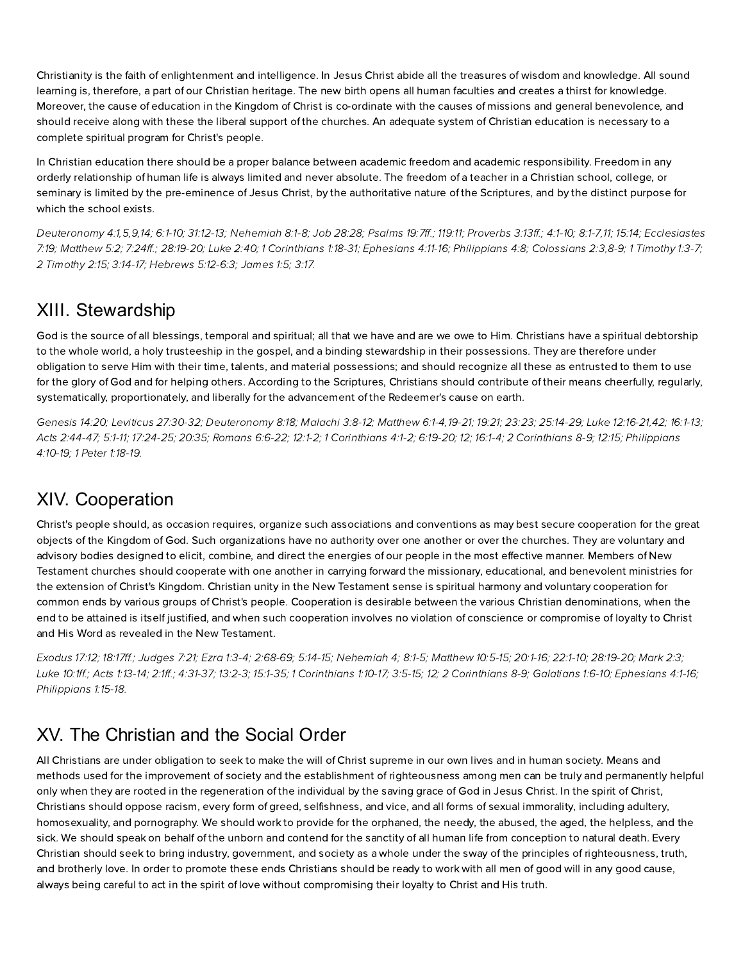Christianity is the faith of enlightenment and intelligence. In Jesus Christ abide all the treasures of wisdom and knowledge. All sound learning is, therefore, a part of our Christian heritage. The new birth opens all human faculties and creates a thirst for knowledge. Moreover, the cause of education in the Kingdom of Christ is co-ordinate with the causes of missions and general benevolence, and should receive along with these the liberal support of the churches. An adequate system of Christian education is necessary to a complete spiritual program for Christ's people.

In Christian education there should be a proper balance between academic freedom and academic responsibility. Freedom in any orderly relationship of human life is always limited and never absolute. The freedom of a teacher in a Christian school, college, or seminary is limited by the pre-eminence of Jesus Christ, by the authoritative nature of the Scriptures, and by the distinct purpose for which the school exists.

[Deuteronom](http://biblia.com/bible/hcsb/Deuteronomy%204.1)y 4:1,[5](http://biblia.com/bible/hcsb/Deuteronomy%204.5)[,9,](http://biblia.com/bible/hcsb/Deuteronomy%204.9)[14](http://biblia.com/bible/hcsb/Deuteronomy%204.14); [6:1-10](http://biblia.com/bible/hcsb/Deuteronomy%206.1-10); [31:12-13;](http://biblia.com/bible/hcsb/Deuteronomy%2031.12-13) [Nehemiah](http://biblia.com/bible/hcsb/Nehemiah%208.1-8) 8:1-8; Job [28:28](http://biblia.com/bible/hcsb/Job%2028.28); [Psalms](http://biblia.com/bible/hcsb/Psalms%2019.7ff) 19:7ff.; [119:11](http://biblia.com/bible/hcsb/Psalms%20119.11); Proverbs 3:13ff.; [4:1-10;](http://biblia.com/bible/hcsb/Proverbs%204.1-10) [8:1-7](http://biblia.com/bible/hcsb/Proverbs%208.1-7),[11;](http://biblia.com/bible/hcsb/Proverbs%208.11) [15:14;](http://biblia.com/bible/hcsb/Proverbs%2015.14) Ecclesiastes 7:19; [Matthew](http://biblia.com/bible/hcsb/Matthew%205.2) 5:2; [7:24ff.](http://biblia.com/bible/hcsb/Matthew%207.24ff); [28:19-20;](http://biblia.com/bible/hcsb/Matthew%2028.19-20) [Luke](http://biblia.com/bible/hcsb/Luke%202.40) 2:40; 1 [Corinthians](http://biblia.com/bible/hcsb/1%20Corinthians%201.18-31) 1:18-31; E[phesians](http://biblia.com/bible/hcsb/Ephesians%204.11-16) 4:11-16; [Philippians](http://biblia.com/bible/hcsb/Philippians%204.8) 4:8; [Colossians](http://biblia.com/bible/hcsb/Colossians%202.3) 2:3,[8-9;](http://biblia.com/bible/hcsb/Colossians%202.8-9) 1 [Timoth](http://biblia.com/bible/hcsb/1%20Timothy%201.3-7)y 1:3-7; 2 [Timoth](http://biblia.com/bible/hcsb/2%20Timothy%202.15)y 2:15; [3:14-17;](http://biblia.com/bible/hcsb/2%20Timothy%203.14-17) Hebrews 5:12-6:3; [James](http://biblia.com/bible/hcsb/James%201.5) 1:5; [3:17.](http://biblia.com/bible/hcsb/James%203.17)

#### XIII. Stewardship

God is the source of all blessings, temporal and spiritual; all that we have and are we owe to Him. Christians have a spiritual debtorship to the whole world, a holy trusteeship in the gospel, and a binding stewardship in their possessions. They are therefore under obligation to serve Him with their time, talents, and material possessions; and should recognize all these as entrusted to them to use for the glory of God and for helping others. According to the Scriptures, Christians should contribute of their means cheerfully, regularly, systematically, proportionately, and liberally for the advancement of the Redeemer's cause on earth.

[Genesis](http://biblia.com/bible/hcsb/Genesis%2014.20) 14:20; Leviticus [27:30-32](http://biblia.com/bible/hcsb/Leviticus%2027.30-32); [Deuteronom](http://biblia.com/bible/hcsb/Deuteronomy%208.18)y 8:18; [Malachi](http://biblia.com/bible/hcsb/Malachi%203.8-12) 3:8-12; [Matthew](http://biblia.com/bible/hcsb/Matthew%206.1-4) 6:1-4,[19-21](http://biblia.com/bible/hcsb/Matthew%206.19-21); [19:21;](http://biblia.com/bible/hcsb/Matthew%2019.21) [23:23;](http://biblia.com/bible/hcsb/Matthew%2023.23) [25:14-29;](http://biblia.com/bible/hcsb/Matthew%2025.14-29) Luke [12:16-21](http://biblia.com/bible/hcsb/Luke%2012.16-21)[,42](http://biblia.com/bible/hcsb/Luke%2012.42); [16:1-13](http://biblia.com/bible/hcsb/Luke%2016.1-13); Acts [2:44-47;](http://biblia.com/bible/hcsb/Acts%202.44-47) [5:1-11;](http://biblia.com/bible/hcsb/Acts%205.1-11) [17:24-25;](http://biblia.com/bible/hcsb/Acts%2017.24-25) [20:35;](http://biblia.com/bible/hcsb/Acts%2020.35) [Romans](http://biblia.com/bible/hcsb/Romans%206.6-22) 6:6-22; [12:1-2;](http://biblia.com/bible/hcsb/Romans%2012.1-2) 1 [Corinthians](http://biblia.com/bible/hcsb/1%20Corinthians%204.1-2) 4:1-2; [6:19-20;](http://biblia.com/bible/hcsb/1%20Corinthians%206.19-20) [12;](http://biblia.com/bible/hcsb/1%20Corinthians%206.12) [16:1-4](http://biblia.com/bible/hcsb/1%20Corinthians%2016.1-4); 2 Corinthians 8-9; 12:15; Philippians 4:10-19; 1 Peter [1:18-19](http://biblia.com/bible/hcsb/1%20Peter%201.18-19).

# XIV. Cooperation

Christ's people should, as occasion requires, organize such associations and conventions as may best secure cooperation for the great objects of the Kingdom of God. Such organizations have no authority over one another or over the churches. They are voluntary and advisory bodies designed to elicit, combine, and direct the energies of our people in the most effective manner. Members of New Testament churches should cooperate with one another in carrying forward the missionary, educational, and benevolent ministries for the extension of Christ's Kingdom. Christian unity in the New Testament sense is spiritual harmony and voluntary cooperation for common ends by various groups of Christ's people. Cooperation is desirable between the various Christian denominations, when the end to be attained is itself justified, and when such cooperation involves no violation of conscience or compromise of loyalty to Christ and His Word as revealed in the New Testament.

E[xodus](http://biblia.com/bible/hcsb/Exodus%2017.12) 17:12; [18:17ff.](http://biblia.com/bible/hcsb/Exodus%2018.17ff); [Judges](http://biblia.com/bible/hcsb/Judges%207.21) 7:21; Ezra [1:3-4;](http://biblia.com/bible/hcsb/Ezra%201.3-4) [2:68-69;](http://biblia.com/bible/hcsb/Ezra%202.68-69) [5:14-15;](http://biblia.com/bible/hcsb/Ezra%205.14-15) Nehemiah 4; 8:1-5; [Matthew](http://biblia.com/bible/hcsb/Matthew%2010.5-15) 10:5-15; [20:1-16;](http://biblia.com/bible/hcsb/Matthew%2020.1-16) [22:1-10;](http://biblia.com/bible/hcsb/Matthew%2022.1-10) [28:19-20](http://biblia.com/bible/hcsb/Matthew%2028.19-20); [Mark](http://biblia.com/bible/hcsb/Mark%202.3) 2:3; [Luke](http://biblia.com/bible/hcsb/Luke%2010.1ff) 10:1ff.; Acts [1:13-14;](http://biblia.com/bible/hcsb/Acts%201.13-14) [2:1ff.](http://biblia.com/bible/hcsb/Acts%202.1ff); [4:31-37;](http://biblia.com/bible/hcsb/Acts%204.31-37) [13:2-3](http://biblia.com/bible/hcsb/Acts%2013.2-3); [15:1-35;](http://biblia.com/bible/hcsb/Acts%2015.1-35) 1 [Corinthians](http://biblia.com/bible/hcsb/1%20Corinthians%201.10-17) 1:10-17; [3:5-15;](http://biblia.com/bible/hcsb/1%20Corinthians%203.5-15) [12;](http://biblia.com/bible/hcsb/1%20Corinthians%203.12) 2 Corinthians 8-9; [Galatians](http://biblia.com/bible/hcsb/Galatians%201.6-10) 1:6-10; [phesians](http://biblia.com/bible/hcsb/Ephesians%204.1-16) 4:1-16; [Philippians](http://biblia.com/bible/hcsb/Philippians%201.15-18) 1:15-18.

### XV. The Christian and the Social Order

All Christians are under obligation to seek to make the will of Christ supreme in our own lives and in human society. Means and methods used for the improvement of society and the establishment of righteousness among men can be truly and permanently helpful only when they are rooted in the regeneration of the individual by the saving grace of God in Jesus Christ. In the spirit of Christ, Christians should oppose racism, every form of greed, selfishness, and vice, and all forms of sexual immorality, including adultery, homosexuality, and pornography. We should work to provide for the orphaned, the needy, the abused, the aged, the helpless, and the sick. We should speak on behalf of the unborn and contend for the sanctity of all human life from conception to natural death. Every Christian should seek to bring industry, government, and society as a whole under the sway of the principles of righteousness, truth, and brotherly love. In order to promote these ends Christians should be ready to work with all men of good will in any good cause, always being careful to act in the spirit of love without compromising their loyalty to Christ and His truth.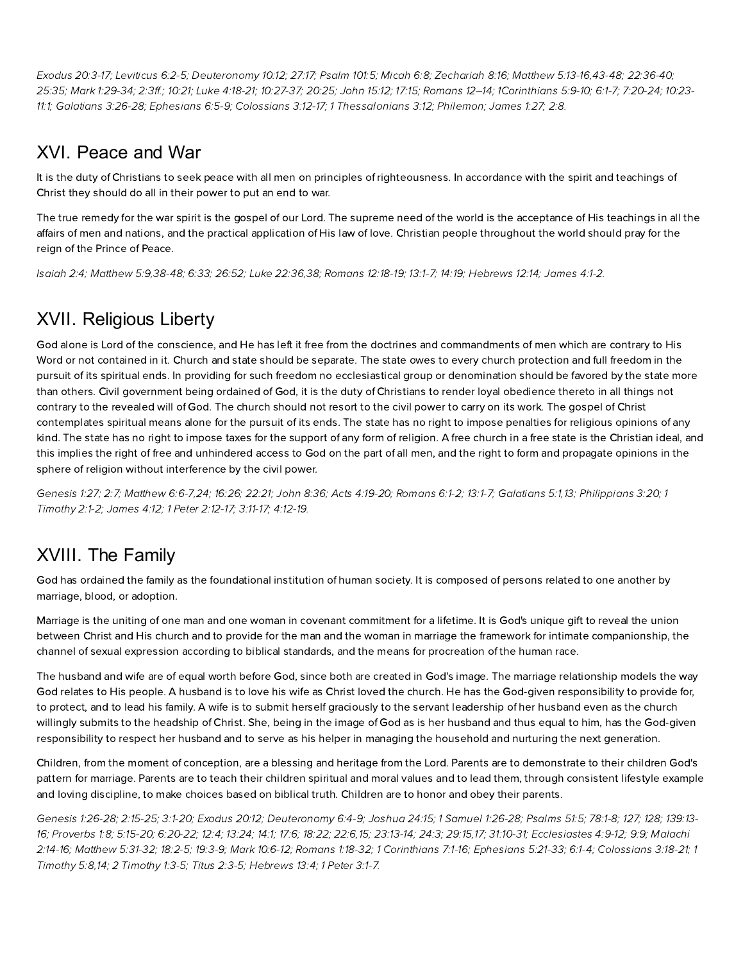E[xodus](http://biblia.com/bible/hcsb/Exodus%2020.3-17) 20:3-17; [Leviticus](http://biblia.com/bible/hcsb/Leviticus%206.2-5) 6:2-5; [Deuteronom](http://biblia.com/bible/hcsb/Deuteronomy%2010.12)y 10:12; [27:17;](http://biblia.com/bible/hcsb/Deuteronomy%2027.17) [Psalm](http://biblia.com/bible/hcsb/Psalm%20101.5) 101:5; [Micah](http://biblia.com/bible/hcsb/Micah%206.8) 6:8; [Zechariah](http://biblia.com/bible/hcsb/Zechariah%208.16) 8:16; [Matthew](http://biblia.com/bible/hcsb/Matthew%205.13-16) 5:13-16,[43-48;](http://biblia.com/bible/hcsb/Matthew%205.43-48) [22:36-40](http://biblia.com/bible/hcsb/Matthew%2022.36-40); [25:35;](http://biblia.com/bible/hcsb/Matthew%2025.35) Mark [1:29-34;](http://biblia.com/bible/hcsb/Mark%201.29-34) [2:3ff.](http://biblia.com/bible/hcsb/Mark%202.3ff); [10:21](http://biblia.com/bible/hcsb/Mark%2010.21); Luke [4:18-21;](http://biblia.com/bible/hcsb/Luke%204.18-21) [10:27-37;](http://biblia.com/bible/hcsb/Luke%2010.27-37) [20:25;](http://biblia.com/bible/hcsb/Luke%2020.25) [John](http://biblia.com/bible/hcsb/John%2015.12) 15:12; [17:15;](http://biblia.com/bible/hcsb/John%2017.15) Romans 12–14; [1Corinthians](http://biblia.com/bible/hcsb/1Corinthians%205.9-10) 5:9-10; [6:1-7](http://biblia.com/bible/hcsb/1Corinthians%206.1-7); [7:20-24](http://biblia.com/bible/hcsb/1Corinthians%207.20-24); 10:23- 11:1; [Galatians](http://biblia.com/bible/hcsb/Galatians%203.26-28) 3:26-28; [phesians](http://biblia.com/bible/hcsb/Ephesians%206.5-9) 6:5-9; [Colossians](http://biblia.com/bible/hcsb/Colossians%203.12-17) 3:12-17; 1 [Thessalonians](http://biblia.com/bible/hcsb/1Corinthians%2010.23-11.1) 3:12; Philemon; [James](http://biblia.com/bible/hcsb/James%201.27) 1:27; [2:8](http://biblia.com/bible/hcsb/James%202.8).

# XVI. Peace and War

It is the duty of Christians to seek peace with all men on principles of righteousness. In accordance with the spirit and teachings of Christ they should do all in their power to put an end to war.

The true remedy for the war spirit is the gospel of our Lord. The supreme need of the world is the acceptance of His teachings in all the affairs of men and nations, and the practical application of His law of love. Christian people throughout the world should pray for the reign of the Prince of Peace.

[Isaiah](http://biblia.com/bible/hcsb/Isaiah%202.4) 2:4; [Matthew](http://biblia.com/bible/hcsb/Matthew%205.9) 5:9[,38-48](http://biblia.com/bible/hcsb/Matthew%205.38-48); [6:33;](http://biblia.com/bible/hcsb/Matthew%206.33) [26:52;](http://biblia.com/bible/hcsb/Matthew%2026.52) Luke [22:36,](http://biblia.com/bible/hcsb/Luke%2022.36)[38;](http://biblia.com/bible/hcsb/Luke%2022.38) [Romans](http://biblia.com/bible/hcsb/Romans%2012.18-19) 12:18-19; [13:1-7;](http://biblia.com/bible/hcsb/Romans%2013.1-7) [14:19](http://biblia.com/bible/hcsb/Romans%2014.19); Hebrews 12:14; [James](http://biblia.com/bible/hcsb/James%204.1-2) 4:1-2.

# XVII. Religious Liberty

God alone is Lord of the conscience, and He has left it free from the doctrines and commandments of men which are contrary to His Word or not contained in it. Church and state should be separate. The state owes to every church protection and full freedom in the pursuit of its spiritual ends. In providing for such freedom no ecclesiastical group or denomination should be favored by the state more than others. Civil government being ordained of God, it is the duty of Christians to render loyal obedience thereto in all things not contrary to the revealed will of God. The church should not resort to the civil power to carry on its work. The gospel of Christ contemplates spiritual means alone for the pursuit of its ends. The state has no right to impose penalties for religious opinions of an kind. The state has no right to impose taxes for the support of any form of religion. A free church in a free state is the Christian ideal, and this implies the right of free and unhindered access to God on the part of all men, and the right to form and propagate opinions in the sphere of religion without interference by the civil power.

[Genesis](http://biblia.com/bible/hcsb/Genesis%201.27) 1:27; [2:7;](http://biblia.com/bible/hcsb/Genesis%202.7) [Matthew](http://biblia.com/bible/hcsb/Matthew%206.6-7) 6:6-7,[24](http://biblia.com/bible/hcsb/Matthew%206.24); [16:26;](http://biblia.com/bible/hcsb/Matthew%2016.26) [22:21](http://biblia.com/bible/hcsb/Matthew%2022.21); [John](http://biblia.com/bible/hcsb/John%208.36) 8:36; Acts [4:19-20;](http://biblia.com/bible/hcsb/Acts%204.19-20) [Romans](http://biblia.com/bible/hcsb/Romans%206.1-2) 6:1-2; [13:1-7;](http://biblia.com/bible/hcsb/Romans%2013.1-7) [Galatians](http://biblia.com/bible/hcsb/Galatians%205.1) 5:1,[13;](http://biblia.com/bible/hcsb/Galatians%205.13) [P](http://biblia.com/bible/hcsb/1%20Timothy%202.1-2)[hilippians](http://biblia.com/bible/hcsb/Philippians%203.20) 3:20; 1 Timothy 2:1-2; [James](http://biblia.com/bible/hcsb/James%204.12) 4:12; 1 Peter [2:12-17](http://biblia.com/bible/hcsb/1%20Peter%202.12-17); [3:11-17;](http://biblia.com/bible/hcsb/1%20Peter%203.11-17) [4:12-19.](http://biblia.com/bible/hcsb/1%20Peter%204.12-19)

# XVIII. The Family

God has ordained the family as the foundational institution of human society. It is composed of persons related to one another by marriage, blood, or adoption.

Marriage is the uniting of one man and one woman in covenant commitment for a lifetime. It is God's unique gift to reveal the union between Christ and His church and to provide for the man and the woman in marriage the framework for intimate companionship, the channel of sexual expression according to biblical standards, and the means for procreation of the human race.

The husband and wife are of equal worth before God, since both are created in God's image. The marriage relationship models the way God relates to His people. A husband is to love his wife as Christ loved the church. He has the God-given responsibility to provide for, to protect, and to lead his family. A wife is to submit herself graciously to the servant leadership of her husband even as the church willingly submits to the headship of Christ. She, being in the image of God as is her husband and thus equal to him, has the God-given responsibility to respect her husband and to serve as his helper in managing the household and nurturing the next generation.

Children, from the moment of conception, are a blessing and heritage from the Lord. Parents are to demonstrate to their children God's pattern for marriage. Parents are to teach their children spiritual and moral values and to lead them, through consistent lifestyle example and loving discipline, to make choices based on biblical truth. Children are to honor and obey their parents.

[Genesis](http://biblia.com/bible/hcsb/Genesis%201.26-28) 1:26-28; [2:15-25](http://biblia.com/bible/hcsb/Genesis%202.15-25); [3:1-20;](http://biblia.com/bible/hcsb/Genesis%203.1-20) E[xodus](http://biblia.com/bible/hcsb/Exodus%2020.12) 20:12; [D](http://biblia.com/bible/hcsb/Psalms%20139.13-16)[euteronom](http://biblia.com/bible/hcsb/Deuteronomy%206.4-9)y 6:4-9; [Joshua](http://biblia.com/bible/hcsb/Joshua%2024.15) 24:15; 1 S[amuel](http://biblia.com/bible/hcsb/1%20Samuel%201.26-28) 1:26-28; [Psalms](http://biblia.com/bible/hcsb/Psalms%2051.5) 51:5; [78:1-8;](http://biblia.com/bible/hcsb/Psalms%2078.1-8) [127;](http://biblia.com/bible/hcsb/Psalms%2078.127) [128;](http://biblia.com/bible/hcsb/Psalms%2078.128) 139:13-16; [Provers](http://biblia.com/bible/hcsb/Proverbs%201.8) 1:8; [5:15-20;](http://biblia.com/bible/hcsb/Proverbs%205.15-20) [6:20-22;](http://biblia.com/bible/hcsb/Proverbs%206.20-22) [12:4;](http://biblia.com/bible/hcsb/Proverbs%2012.4) [13:24](http://biblia.com/bible/hcsb/Proverbs%2013.24); [14:1;](http://biblia.com/bible/hcsb/Proverbs%2014.1) [17:6](http://biblia.com/bible/hcsb/Proverbs%2017.6); [18:22;](http://biblia.com/bible/hcsb/Proverbs%2018.22) [22:6](http://biblia.com/bible/hcsb/Proverbs%2022.6)[,15;](http://biblia.com/bible/hcsb/Proverbs%2022.15) [23:13-14](http://biblia.com/bible/hcsb/Proverbs%2023.13-14); [24:3;](http://biblia.com/bible/hcsb/Proverbs%2024.3) [29:15](http://biblia.com/bible/hcsb/Proverbs%2029.15),[17](http://biblia.com/bible/hcsb/Proverbs%2029.17); [31:10-31;](http://biblia.com/bible/hcsb/Proverbs%2031.10-31) [cclesiastes](http://biblia.com/bible/hcsb/Ecclesiastes%204.9-12) 4:9-12; [9:9](http://biblia.com/bible/hcsb/Ecclesiastes%209.9); Malachi 2:14-16; [Matthew](http://biblia.com/bible/hcsb/Matthew%205.31-32) 5:31-32; [18:2-5](http://biblia.com/bible/hcsb/Matthew%2018.2-5); [19:3-9;](http://biblia.com/bible/hcsb/Matthew%2019.3-9) Mark [10:6-12](http://biblia.com/bible/hcsb/Mark%2010.6-12); [Romans](http://biblia.com/bible/hcsb/Romans%201.18-32) 1:18-32; 1 [Corinthians](http://biblia.com/bible/hcsb/1%20Corinthians%207.1-16) 7:1-16; [phesians](http://biblia.com/bible/hcsb/Ephesians%205.21-33) 5:21-33; [6:1-4;](http://biblia.com/bible/hcsb/Ephesians%206.1-4) [Colossians](http://biblia.com/bible/hcsb/Colossians%203.18-21) 3:18-21; 1 Timothy 5:8,[14](http://biblia.com/bible/hcsb/1%20Timothy%205.14); 2 [Timoth](http://biblia.com/bible/hcsb/2%20Timothy%201.3-5)y 1:3-5; Titus [2:3-5;](http://biblia.com/bible/hcsb/Titus%202.3-5) Hebrews 13:4; 1 [Peter](http://biblia.com/bible/hcsb/1%20Peter%203.1-7) 3:1-7.